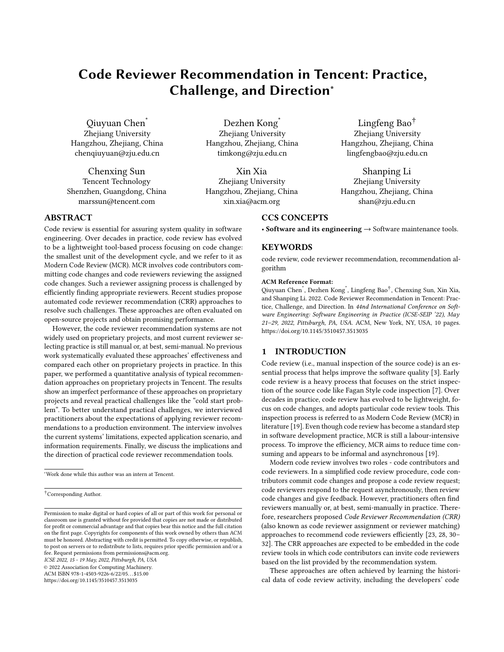# Code Reviewer Recommendation in Tencent: Practice, Challenge, and Direction<sup>∗</sup>

Qiuyuan Chen\* Zhejiang University Hangzhou, Zhejiang, China chenqiuyuan@zju.edu.cn

Chenxing Sun Tencent Technology Shenzhen, Guangdong, China marssun@tencent.com

Dezhen Kong<sup>\*</sup> Zhejiang University Hangzhou, Zhejiang, China timkong@zju.edu.cn

Xin Xia Zhejiang University Hangzhou, Zhejiang, China xin.xia@acm.org

Lingfeng Bao† Zhejiang University Hangzhou, Zhejiang, China lingfengbao@zju.edu.cn

Shanping Li Zhejiang University Hangzhou, Zhejiang, China shan@zju.edu.cn

# CCS CONCEPTS

• Software and its engineering  $\rightarrow$  Software maintenance tools.

## **KEYWORDS**

code review, code reviewer recommendation, recommendation algorithm

#### ACM Reference Format:

Qiuyuan Chen\* , Dezhen Kong\* , Lingfeng Bao† , Chenxing Sun, Xin Xia, and Shanping Li. 2022. Code Reviewer Recommendation in Tencent: Practice, Challenge, and Direction. In 44nd International Conference on Software Engineering: Software Engineering in Practice (ICSE-SEIP '22), May 21–29, 2022, Pittsburgh, PA, USA. ACM, New York, NY, USA, [10](#page-9-0) pages. <https://doi.org/10.1145/3510457.3513035>

## 1 INTRODUCTION

Code review (i.e., manual inspection of the source code) is an essential process that helps improve the software quality [\[3\]](#page-9-1). Early code review is a heavy process that focuses on the strict inspection of the source code like Fagan Style code inspection [\[7\]](#page-9-2). Over decades in practice, code review has evolved to be lightweight, focus on code changes, and adopts particular code review tools. This inspection process is referred to as Modern Code Review (MCR) in literature [\[19\]](#page-9-3). Even though code review has become a standard step in software development practice, MCR is still a labour-intensive process. To improve the efficiency, MCR aims to reduce time consuming and appears to be informal and asynchronous [\[19\]](#page-9-3).

Modern code review involves two roles - code contributors and code reviewers. In a simplified code review procedure, code contributors commit code changes and propose a code review request; code reviewers respond to the request asynchronously, then review code changes and give feedback. However, practitioners often find reviewers manually or, at best, semi-manually in practice. Therefore, researchers proposed Code Reviewer Recommendation (CRR) (also known as code reviewer assignment or reviewer matching) approaches to recommend code reviewers efficiently [\[23,](#page-9-4) [28,](#page-9-5) [30–](#page-9-6) [32\]](#page-9-7). The CRR approaches are expected to be embedded in the code review tools in which code contributors can invite code reviewers based on the list provided by the recommendation system.

These approaches are often achieved by learning the historical data of code review activity, including the developers' code

#### ABSTRACT

Code review is essential for assuring system quality in software engineering. Over decades in practice, code review has evolved to be a lightweight tool-based process focusing on code change: the smallest unit of the development cycle, and we refer to it as Modern Code Review (MCR). MCR involves code contributors committing code changes and code reviewers reviewing the assigned code changes. Such a reviewer assigning process is challenged by efficiently finding appropriate reviewers. Recent studies propose automated code reviewer recommendation (CRR) approaches to resolve such challenges. These approaches are often evaluated on open-source projects and obtain promising performance.

However, the code reviewer recommendation systems are not widely used on proprietary projects, and most current reviewer selecting practice is still manual or, at best, semi-manual. No previous work systematically evaluated these approaches' effectiveness and compared each other on proprietary projects in practice. In this paper, we performed a quantitative analysis of typical recommendation approaches on proprietary projects in Tencent. The results show an imperfect performance of these approaches on proprietary projects and reveal practical challenges like the "cold start problem". To better understand practical challenges, we interviewed practitioners about the expectations of applying reviewer recommendations to a production environment. The interview involves the current systems' limitations, expected application scenario, and information requirements. Finally, we discuss the implications and the direction of practical code reviewer recommendation tools.

ICSE 2022, 15 - 19 May, 2022, Pittsburgh, PA, USA

© 2022 Association for Computing Machinery.

ACM ISBN 978-1-4503-9226-6/22/05. . . \$15.00 <https://doi.org/10.1145/3510457.3513035>

<sup>∗</sup>Work done while this author was an intern at Tencent.

<sup>†</sup>Corresponding Author.

Permission to make digital or hard copies of all or part of this work for personal or classroom use is granted without fee provided that copies are not made or distributed for profit or commercial advantage and that copies bear this notice and the full citation on the first page. Copyrights for components of this work owned by others than ACM must be honored. Abstracting with credit is permitted. To copy otherwise, or republish, to post on servers or to redistribute to lists, requires prior specific permission and/or a fee. Request permissions from permissions@acm.org.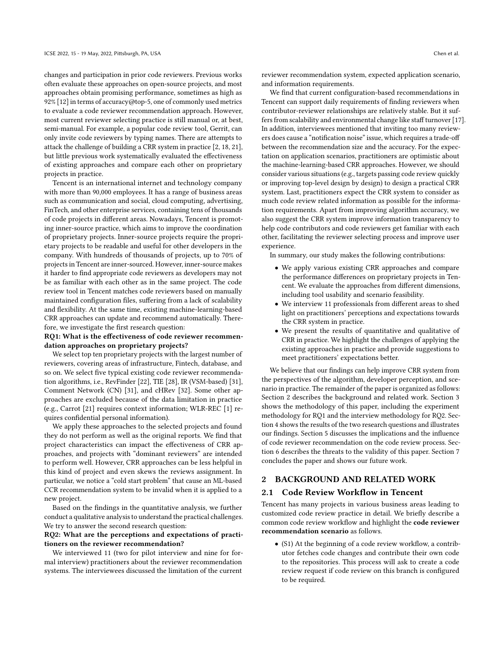changes and participation in prior code reviewers. Previous works often evaluate these approaches on open-source projects, and most approaches obtain promising performance, sometimes as high as 92% [\[12\]](#page-9-8) in terms of accuracy@top-5, one of commonly used metrics to evaluate a code reviewer recommendation approach. However, most current reviewer selecting practice is still manual or, at best, semi-manual. For example, a popular code review tool, Gerrit, can only invite code reviewers by typing names. There are attempts to attack the challenge of building a CRR system in practice [\[2,](#page-9-9) [18,](#page-9-10) [21\]](#page-9-11), but little previous work systematically evaluated the effectiveness of existing approaches and compare each other on proprietary projects in practice.

Tencent is an international internet and technology company with more than 90,000 employees. It has a range of business areas such as communication and social, cloud computing, advertising, FinTech, and other enterprise services, containing tens of thousands of code projects in different areas. Nowadays, Tencent is promoting inner-source practice, which aims to improve the coordination of proprietary projects. Inner-source projects require the proprietary projects to be readable and useful for other developers in the company. With hundreds of thousands of projects, up to 70% of projects in Tencent are inner-sourced. However, inner-source makes it harder to find appropriate code reviewers as developers may not be as familiar with each other as in the same project. The code review tool in Tencent matches code reviewers based on manually maintained configuration files, suffering from a lack of scalability and flexibility. At the same time, existing machine-learning-based CRR approaches can update and recommend automatically. Therefore, we investigate the first research question:

### RQ1: What is the effectiveness of code reviewer recommendation approaches on proprietary projects?

We select top ten proprietary projects with the largest number of reviewers, covering areas of infrastructure, Fintech, database, and so on. We select five typical existing code reviewer recommendation algorithms, i.e., RevFinder [\[22\]](#page-9-12), TIE [\[28\]](#page-9-5), IR (VSM-based) [\[31\]](#page-9-13), Comment Network (CN) [\[31\]](#page-9-13), and cHRev [\[32\]](#page-9-7). Some other approaches are excluded because of the data limitation in practice (e.g., Carrot [\[21\]](#page-9-11) requires context information; WLR-REC [\[1\]](#page-9-14) requires confidential personal information).

We apply these approaches to the selected projects and found they do not perform as well as the original reports. We find that project characteristics can impact the effectiveness of CRR approaches, and projects with "dominant reviewers" are intended to perform well. However, CRR approaches can be less helpful in this kind of project and even skews the reviews assignment. In particular, we notice a "cold start problem" that cause an ML-based CCR recommendation system to be invalid when it is applied to a new project.

Based on the findings in the quantitative analysis, we further conduct a qualitative analysis to understand the practical challenges. We try to answer the second research question:

#### RQ2: What are the perceptions and expectations of practitioners on the reviewer recommendation?

We interviewed 11 (two for pilot interview and nine for formal interview) practitioners about the reviewer recommendation systems. The interviewees discussed the limitation of the current

reviewer recommendation system, expected application scenario, and information requirements.

We find that current configuration-based recommendations in Tencent can support daily requirements of finding reviewers when contributor-reviewer relationships are relatively stable. But it suffers from scalability and environmental change like staff turnover [\[17\]](#page-9-15). In addition, interviewees mentioned that inviting too many reviewers does cause a "notification noise" issue, which requires a trade-off between the recommendation size and the accuracy. For the expectation on application scenarios, practitioners are optimistic about the machine-learning-based CRR approaches. However, we should consider various situations (e.g., targets passing code review quickly or improving top-level design by design) to design a practical CRR system. Last, practitioners expect the CRR system to consider as much code review related information as possible for the information requirements. Apart from improving algorithm accuracy, we also suggest the CRR system improve information transparency to help code contributors and code reviewers get familiar with each other, facilitating the reviewer selecting process and improve user experience.

In summary, our study makes the following contributions:

- We apply various existing CRR approaches and compare the performance differences on proprietary projects in Tencent. We evaluate the approaches from different dimensions, including tool usability and scenario feasibility.
- We interview 11 professionals from different areas to shed light on practitioners' perceptions and expectations towards the CRR system in practice.
- We present the results of quantitative and qualitative of CRR in practice. We highlight the challenges of applying the existing approaches in practice and provide suggestions to meet practitioners' expectations better.

We believe that our findings can help improve CRR system from the perspectives of the algorithm, developer perception, and scenario in practice. The remainder of the paper is organized as follows: Section [2](#page-1-0) describes the background and related work. Section [3](#page-2-0) shows the methodology of this paper, including the experiment methodology for RQ1 and the interview methodology for RQ2. Section [4](#page-5-0) shows the results of the two research questions and illustrates our findings. Section [5](#page-8-0) discusses the implications and the influence of code reviewer recommendation on the code review process. Section [6](#page-8-1) describes the threats to the validity of this paper. Section [7](#page-9-16) concludes the paper and shows our future work.

## <span id="page-1-0"></span>2 BACKGROUND AND RELATED WORK

#### 2.1 Code Review Workflow in Tencent

Tencent has many projects in various business areas leading to customized code review practice in detail. We briefly describe a common code review workflow and highlight the code reviewer recommendation scenario as follows.

• (S1) At the beginning of a code review workflow, a contributor fetches code changes and contribute their own code to the repositories. This process will ask to create a code review request if code review on this branch is configured to be required.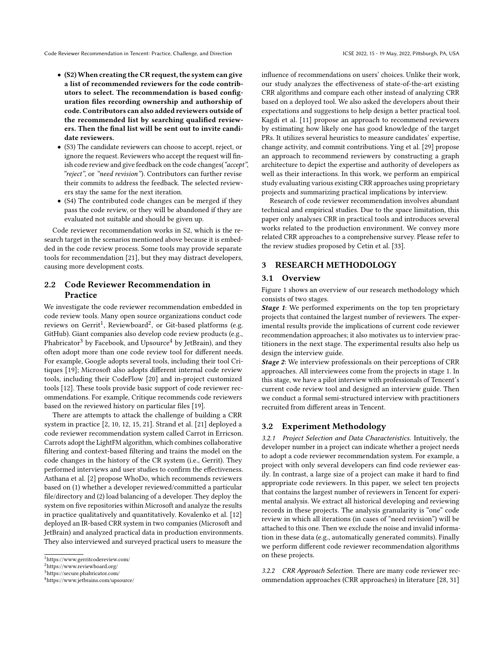- (S2)When creating the CR request, the system can give a list of recommended reviewers for the code contributors to select. The recommendation is based configuration files recording ownership and authorship of code. Contributors can also added reviewers outside of the recommended list by searching qualified reviewers. Then the final list will be sent out to invite candidate reviewers.
- (S3) The candidate reviewers can choose to accept, reject, or ignore the request. Reviewers who accept the request will finish code review and give feedback on the code changes("accept", "reject", or "need revision"). Contributors can further revise their commits to address the feedback. The selected reviewers stay the same for the next iteration.
- (S4) The contributed code changes can be merged if they pass the code review, or they will be abandoned if they are evaluated not suitable and should be given up.

Code reviewer recommendation works in S2, which is the research target in the scenarios mentioned above because it is embedded in the code review process. Some tools may provide separate tools for recommendation [\[21\]](#page-9-11), but they may distract developers, causing more development costs.

# 2.2 Code Reviewer Recommendation in Practice

We investigate the code reviewer recommendation embedded in code review tools. Many open source organizations conduct code reviews on Gerrit<sup>[1](#page-2-1)</sup>, Reviewboard<sup>[2](#page-2-2)</sup>, or Git-based platforms (e.g. GitHub). Giant companies also develop code review products (e.g., Phabricator<sup>[3](#page-2-3)</sup> by Facebook, and Upsource<sup>[4](#page-2-4)</sup> by JetBrain), and they often adopt more than one code review tool for different needs. For example, Google adopts several tools, including their tool Critiques [\[19\]](#page-9-3); Microsoft also adopts different internal code review tools, including their CodeFlow [\[20\]](#page-9-17) and in-project customized tools [\[12\]](#page-9-8). These tools provide basic support of code reviewer recommendations. For example, Critique recommends code reviewers based on the reviewed history on particular files [\[19\]](#page-9-3).

There are attempts to attack the challenge of building a CRR system in practice [\[2,](#page-9-9) [10,](#page-9-18) [12,](#page-9-8) [15,](#page-9-19) [21\]](#page-9-11). Strand et al. [\[21\]](#page-9-11) deployed a code reviewer recommendation system called Carrot in Erricson. Carrots adopt the LightFM algorithm, which combines collaborative filtering and context-based filtering and trains the model on the code changes in the history of the CR system (i.e., Gerrit). They performed interviews and user studies to confirm the effectiveness. Asthana et al. [\[2\]](#page-9-9) propose WhoDo, which recommends reviewers based on (1) whether a developer reviewed/committed a particular file/directory and (2) load balancing of a developer. They deploy the system on five repositories within Microsoft and analyze the results in practice qualitatively and quantitatively. Kovalenko et al. [\[12\]](#page-9-8) deployed an IR-based CRR system in two companies (Microsoft and JetBrain) and analyzed practical data in production environments. They also interviewed and surveyed practical users to measure the

influence of recommendations on users' choices. Unlike their work, our study analyzes the effectiveness of state-of-the-art existing CRR algorithms and compare each other instead of analyzing CRR based on a deployed tool. We also asked the developers about their expectations and suggestions to help design a better practical tool. Kagdi et al. [\[11\]](#page-9-20) propose an approach to recommend reviewers by estimating how likely one has good knowledge of the target PRs. It utilizes several heuristics to measure candidates' expertise, change activity, and commit contributions. Ying et al. [\[29\]](#page-9-21) propose an approach to recommend reviewers by constructing a graph architecture to depict the expertise and authority of developers as well as their interactions. In this work, we perform an empirical study evaluating various existing CRR approaches using proprietary projects and summarizing practical implications by interview.

Research of code reviewer recommendation involves abundant technical and empirical studies. Due to the space limitation, this paper only analyses CRR in practical tools and introduces several works related to the production environment. We convey more related CRR approaches to a comprehensive survey. Please refer to the review studies proposed by Cetin et al. [\[33\]](#page-9-22).

## <span id="page-2-0"></span>3 RESEARCH METHODOLOGY

## 3.1 Overview

Figure [1](#page-3-0) shows an overview of our research methodology which consists of two stages.

Stage 1: We performed experiments on the top ten proprietary projects that contained the largest number of reviewers. The experimental results provide the implications of current code reviewer recommendation approaches; it also motivates us to interview practitioners in the next stage. The experimental results also help us design the interview guide.

Stage 2: We interview professionals on their perceptions of CRR approaches. All interviewees come from the projects in stage 1. In this stage, we have a pilot interview with professionals of Tencent's current code review tool and designed an interview guide. Then we conduct a formal semi-structured interview with practitioners recruited from different areas in Tencent.

## 3.2 Experiment Methodology

3.2.1 Project Selection and Data Characteristics. Intuitively, the developer number in a project can indicate whether a project needs to adopt a code reviewer recommendation system. For example, a project with only several developers can find code reviewer easily. In contrast, a large size of a project can make it hard to find appropriate code reviewers. In this paper, we select ten projects that contains the largest number of reviewers in Tencent for experimental analysis. We extract all historical developing and reviewing records in these projects. The analysis granularity is "one" code review in which all iterations (in cases of "need revision") will be attached to this one. Then we exclude the noise and invalid information in these data (e.g., automatically generated commits). Finally we perform different code reviewer recommendation algorithms on these projects.

3.2.2 CRR Approach Selection. There are many code reviewer recommendation approaches (CRR approaches) in literature [\[28,](#page-9-5) [31\]](#page-9-13)

<span id="page-2-1"></span><sup>1</sup>https://www.gerritcodereview.com/

<span id="page-2-2"></span><sup>2</sup>https://www.reviewboard.org/

<span id="page-2-3"></span><sup>3</sup>https://secure.phabricator.com/

<span id="page-2-4"></span><sup>4</sup>https://www.jetbrains.com/upsource/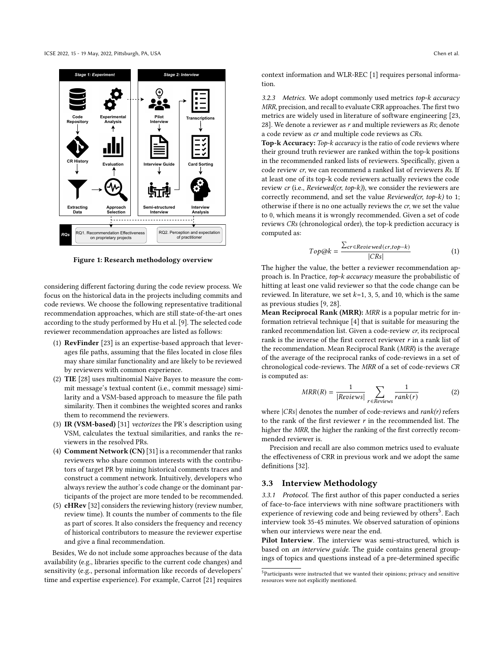<span id="page-3-0"></span>

Figure 1: Research methodology overview

considering different factoring during the code review process. We focus on the historical data in the projects including commits and code reviews. We choose the following representative traditional recommendation approaches, which are still state-of-the-art ones according to the study performed by Hu et al. [\[9\]](#page-9-23). The selected code reviewer recommendation approaches are listed as follows:

- (1) RevFinder [\[23\]](#page-9-4) is an expertise-based approach that leverages file paths, assuming that the files located in close files may share similar functionality and are likely to be reviewed by reviewers with common experience.
- (2) TIE [\[28\]](#page-9-5) uses multinomial Naive Bayes to measure the commit message's textual content (i.e., commit message) similarity and a VSM-based approach to measure the file path similarity. Then it combines the weighted scores and ranks them to recommend the reviewers.
- (3) IR (VSM-based) [\[31\]](#page-9-13) vectorizes the PR's description using VSM, calculates the textual similarities, and ranks the reviewers in the resolved PRs.
- (4) Comment Network (CN) [\[31\]](#page-9-13) is a recommender that ranks reviewers who share common interests with the contributors of target PR by mining historical comments traces and construct a comment network. Intuitively, developers who always review the author's code change or the dominant participants of the project are more tended to be recommended.
- (5) cHRev [\[32\]](#page-9-7) considers the reviewing history (review number, review time). It counts the number of comments to the file as part of scores. It also considers the frequency and recency of historical contributors to measure the reviewer expertise and give a final recommendation.

Besides, We do not include some approaches because of the data availability (e.g., libraries specific to the current code changes) and sensitivity (e.g., personal information like records of developers' time and expertise experience). For example, Carrot [\[21\]](#page-9-11) requires

context information and WLR-REC [\[1\]](#page-9-14) requires personal information.

3.2.3 Metrics. We adopt commonly used metrics top-k accuracy MRR, precision, and recall to evaluate CRR approaches. The first two metrics are widely used in literature of software engineering [\[23,](#page-9-4) [28\]](#page-9-5). We denote a reviewer as  $r$  and multiple reviewers as  $Rs$ ; denote a code review as cr and multiple code reviews as CRs.

Top-k Accuracy: Top-k accuracy is the ratio of code reviews where their ground truth reviewer are ranked within the top-k positions in the recommended ranked lists of reviewers. Specifically, given a code review cr, we can recommend a ranked list of reviewers Rs. If at least one of its top-k code reviewers actually reviews the code review cr (i.e., Reviewed(cr, top-k)), we consider the reviewers are correctly recommend, and set the value Reviewed(cr, top-k) to 1; otherwise if there is no one actually reviews the cr, we set the value to 0, which means it is wrongly recommended. Given a set of code reviews CRs (chronological order), the top-k prediction accuracy is computed as:

$$
Top@k = \frac{\sum_{cr \in Reviewed(ct, top-k)}[CRs]}{|CRs|}
$$
 (1)

The higher the value, the better a reviewer recommendation approach is. In Practice, top-k accuracy measure the probabilistic of hitting at least one valid reviewer so that the code change can be reviewed. In literature, we set  $k=1, 3, 5$ , and 10, which is the same as previous studies [\[9,](#page-9-23) [28\]](#page-9-5).

Mean Reciprocal Rank (MRR): MRR is a popular metric for information retrieval technique [\[4\]](#page-9-24) that is suitable for measuring the ranked recommendation list. Given a code-review cr, its reciprocal rank is the inverse of the first correct reviewer  $r$  in a rank list of the recommendation. Mean Reciprocal Rank (MRR) is the average of the average of the reciprocal ranks of code-reviews in a set of chronological code-reviews. The MRR of a set of code-reviews CR is computed as:

$$
MRR(R) = \frac{1}{|Reviews|} \sum_{r \in Reviews} \frac{1}{rank(r)}
$$
 (2)

where  $|CRs|$  denotes the number of code-reviews and  $rank(r)$  refers to the rank of the first reviewer  $r$  in the recommended list. The higher the MRR, the higher the ranking of the first correctly recommended reviewer is.

Precision and recall are also common metrics used to evaluate the effectiveness of CRR in previous work and we adopt the same definitions [\[32\]](#page-9-7).

## 3.3 Interview Methodology

<span id="page-3-2"></span>3.3.1 Protocol. The first author of this paper conducted a series of face-to-face interviews with nine software practitioners with experience of reviewing code and being reviewed by others<sup>[5](#page-3-1)</sup>. Each interview took 35-45 minutes. We observed saturation of opinions when our interviews were near the end.

Pilot Interview. The interview was semi-structured, which is based on an interview guide. The guide contains general groupings of topics and questions instead of a pre-determined specific

<span id="page-3-1"></span> ${\rm ^5}$  Participants were instructed that we wanted their opinions; privacy and sensitive resources were not explicitly mentioned.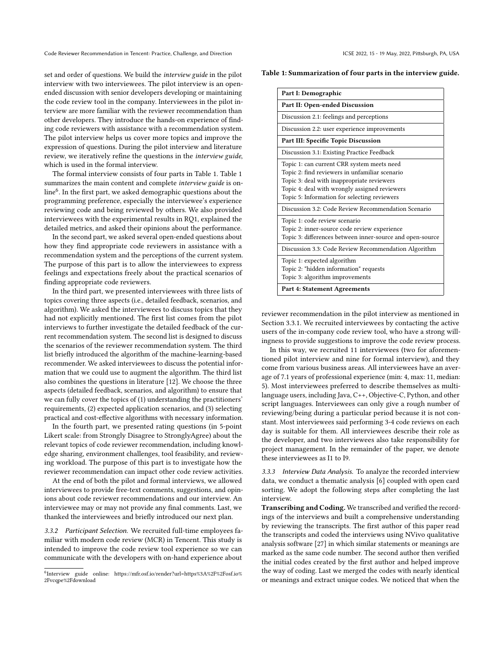Code Reviewer Recommendation in Tencent: Practice, Challenge, and Direction ICSE 2022, 15 - 19 May, 2022, Pittsburgh, PA, USA

set and order of questions. We build the interview guide in the pilot interview with two interviewees. The pilot interview is an openended discussion with senior developers developing or maintaining the code review tool in the company. Interviewees in the pilot interview are more familiar with the reviewer recommendation than other developers. They introduce the hands-on experience of finding code reviewers with assistance with a recommendation system. The pilot interview helps us cover more topics and improve the expression of questions. During the pilot interview and literature review, we iteratively refine the questions in the interview guide, which is used in the formal interview.

The formal interview consists of four parts in Table [1.](#page-4-0) Table [1](#page-4-0) summarizes the main content and complete interview guide is on-line<sup>[6](#page-4-1)</sup>. In the first part, we asked demographic questions about the programming preference, especially the interviewee's experience reviewing code and being reviewed by others. We also provided interviewees with the experimental results in RQ1, explained the detailed metrics, and asked their opinions about the performance.

In the second part, we asked several open-ended questions about how they find appropriate code reviewers in assistance with a recommendation system and the perceptions of the current system. The purpose of this part is to allow the interviewees to express feelings and expectations freely about the practical scenarios of finding appropriate code reviewers.

In the third part, we presented interviewees with three lists of topics covering three aspects (i.e., detailed feedback, scenarios, and algorithm). We asked the interviewees to discuss topics that they had not explicitly mentioned. The first list comes from the pilot interviews to further investigate the detailed feedback of the current recommendation system. The second list is designed to discuss the scenarios of the reviewer recommendation system. The third list briefly introduced the algorithm of the machine-learning-based recommender. We asked interviewees to discuss the potential information that we could use to augment the algorithm. The third list also combines the questions in literature [\[12\]](#page-9-8). We choose the three aspects (detailed feedback, scenarios, and algorithm) to ensure that we can fully cover the topics of (1) understanding the practitioners' requirements, (2) expected application scenarios, and (3) selecting practical and cost-effective algorithms with necessary information.

In the fourth part, we presented rating questions (in 5-point Likert scale: from Strongly Disagree to StronglyAgree) about the relevant topics of code reviewer recommendation, including knowledge sharing, environment challenges, tool feasibility, and reviewing workload. The purpose of this part is to investigate how the reviewer recommendation can impact other code review activities.

At the end of both the pilot and formal interviews, we allowed interviewees to provide free-text comments, suggestions, and opinions about code reviewer recommendations and our interview. An interviewee may or may not provide any final comments. Last, we thanked the interviewees and briefly introduced our next plan.

3.3.2 Participant Selection. We recruited full-time employees familiar with modern code review (MCR) in Tencent. This study is intended to improve the code review tool experience so we can communicate with the developers with on-hand experience about

<span id="page-4-0"></span>Table 1: Summarization of four parts in the interview guide.

| Part I: Demographic                                                                                                                                                                                                                         |  |  |  |  |  |  |  |  |
|---------------------------------------------------------------------------------------------------------------------------------------------------------------------------------------------------------------------------------------------|--|--|--|--|--|--|--|--|
| Part II: Open-ended Discussion                                                                                                                                                                                                              |  |  |  |  |  |  |  |  |
| Discussion 2.1: feelings and perceptions                                                                                                                                                                                                    |  |  |  |  |  |  |  |  |
| Discussion 2.2: user experience improvements                                                                                                                                                                                                |  |  |  |  |  |  |  |  |
| Part III: Specific Topic Discussion                                                                                                                                                                                                         |  |  |  |  |  |  |  |  |
| Discussion 3.1: Existing Practice Feedback                                                                                                                                                                                                  |  |  |  |  |  |  |  |  |
| Topic 1: can current CRR system meets need<br>Topic 2: find reviewers in unfamiliar scenario<br>Topic 3: deal with inappropriate reviewers<br>Topic 4: deal with wrongly assigned reviewers<br>Topic 5: Information for selecting reviewers |  |  |  |  |  |  |  |  |
| Discussion 3.2: Code Review Recommendation Scenario                                                                                                                                                                                         |  |  |  |  |  |  |  |  |
| Topic 1: code review scenario<br>Topic 2: inner-source code review experience<br>Topic 3: differences between inner-source and open-source                                                                                                  |  |  |  |  |  |  |  |  |
| Discussion 3.3: Code Review Recommendation Algorithm                                                                                                                                                                                        |  |  |  |  |  |  |  |  |
| Topic 1: expected algorithm<br>Topic 2: "hidden information" requests<br>Topic 3: algorithm improvements                                                                                                                                    |  |  |  |  |  |  |  |  |
| Part 4: Statement Agreements                                                                                                                                                                                                                |  |  |  |  |  |  |  |  |

reviewer recommendation in the pilot interview as mentioned in Section [3.3.1.](#page-3-2) We recruited interviewees by contacting the active users of the in-company code review tool, who have a strong willingness to provide suggestions to improve the code review process.

In this way, we recruited 11 interviewees (two for aforementioned pilot interview and nine for formal interview), and they come from various business areas. All interviewees have an average of 7.1 years of professional experience (min: 4, max: 11, median: 5). Most interviewees preferred to describe themselves as multilanguage users, including Java, C++, Objective-C, Python, and other script languages. Interviewees can only give a rough number of reviewing/being during a particular period because it is not constant. Most interviewees said performing 3-4 code reviews on each day is suitable for them. All interviewees describe their role as the developer, and two interviewees also take responsibility for project management. In the remainder of the paper, we denote these interviewees as I1 to I9.

3.3.3 Interview Data Analysis. To analyze the recorded interview data, we conduct a thematic analysis [\[6\]](#page-9-25) coupled with open card sorting. We adopt the following steps after completing the last interview.

Transcribing and Coding. We transcribed and verified the recordings of the interviews and built a comprehensive understanding by reviewing the transcripts. The first author of this paper read the transcripts and coded the interviews using NVivo qualitative analysis software [\[27\]](#page-9-26) in which similar statements or meanings are marked as the same code number. The second author then verified the initial codes created by the first author and helped improve the way of coding. Last we merged the codes with nearly identical or meanings and extract unique codes. We noticed that when the

<span id="page-4-1"></span><sup>6</sup> Interview guide online: [https://mfr.osf.io/render?url=https%3A%2F%2Fosf.io%](https://mfr.osf.io/render?url=https%3A%2F%2Fosf.io%2Fvcqpe%2Fdownload) [2Fvcqpe%2Fdownload](https://mfr.osf.io/render?url=https%3A%2F%2Fosf.io%2Fvcqpe%2Fdownload)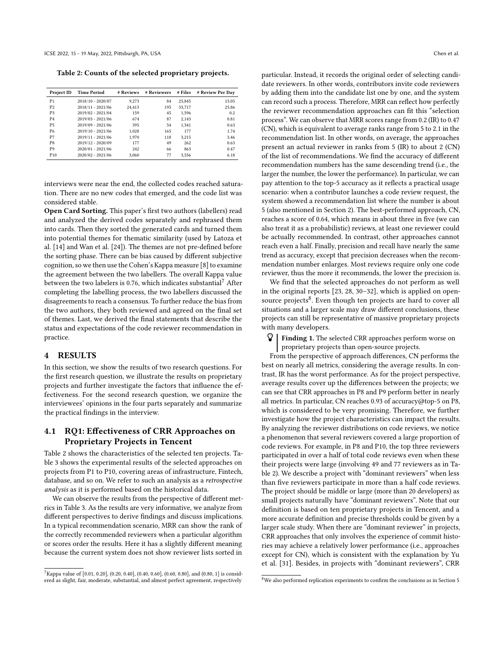<span id="page-5-2"></span>Table 2: Counts of the selected proprietary projects.

| Project ID      | Time Period         | # Reviews | # Reviewers | # Files | # Review Per Day |
|-----------------|---------------------|-----------|-------------|---------|------------------|
| P1              | 2018/10 - 2020/07   | 9.273     | 84          | 25.845  | 15.05            |
| P <sub>2</sub>  | 2018/11 - 2021/06   | 24.413    | 195         | 33,717  | 25.86            |
| P <sub>3</sub>  | 2019/02 - 2021/04   | 159       | 45          | 1,596   | 0.2              |
| P <sub>4</sub>  | $2019/03 - 2021/06$ | 674       | 87          | 2.143   | 0.81             |
| P <sub>5</sub>  | 2019/09 - 2021/06   | 395       | 54          | 1.341   | 0.63             |
| P6              | 2019/10 - 2021/06   | 1.028     | 165         | 177     | 1.74             |
| P7              | 2019/11 - 2021/06   | 1,970     | 118         | 3.215   | 3.46             |
| P8              | 2019/12 - 2020/09   | 177       | 49          | 262     | 0.63             |
| P9              | 2020/01 - 2021/06   | 242       | 66          | 863     | 0.47             |
| P <sub>10</sub> | 2020/02 - 2021/06   | 3.060     | 77          | 3.556   | 6.18             |

interviews were near the end, the collected codes reached saturation. There are no new codes that emerged, and the code list was considered stable.

Open Card Sorting. This paper's first two authors (labellers) read and analyzed the derived codes separately and rephrased them into cards. Then they sorted the generated cards and turned them into potential themes for thematic similarity (used by Latoza et al. [\[14\]](#page-9-27) and Wan et al. [\[24\]](#page-9-28)). The themes are not pre-defined before the sorting phase. There can be bias caused by different subjective cognition, so we then use the Cohen's Kappa measure [\[8\]](#page-9-29) to examine the agreement between the two labellers. The overall Kappa value between the two labelers is 0.[7](#page-5-1)6, which indicates substantial<sup>7</sup> After completing the labelling process, the two labellers discussed the disagreements to reach a consensus. To further reduce the bias from the two authors, they both reviewed and agreed on the final set of themes. Last, we derived the final statements that describe the status and expectations of the code reviewer recommendation in practice.

## <span id="page-5-0"></span>4 RESULTS

In this section, we show the results of two research questions. For the first research question, we illustrate the results on proprietary projects and further investigate the factors that influence the effectiveness. For the second research question, we organize the interviewees' opinions in the four parts separately and summarize the practical findings in the interview.

# 4.1 RQ1: Effectiveness of CRR Approaches on Proprietary Projects in Tencent

Table [2](#page-5-2) shows the characteristics of the selected ten projects. Table [3](#page-6-0) shows the experimental results of the selected approaches on projects from P1 to P10, covering areas of infrastructure, Fintech, database, and so on. We refer to such an analysis as a retrospective analysis as it is performed based on the historical data.

We can observe the results from the perspective of different metrics in Table [3.](#page-6-0) As the results are very informative, we analyze from different perspectives to derive findings and discuss implications. In a typical recommendation scenario, MRR can show the rank of the correctly recommended reviewers when a particular algorithm or scores order the results. Here it has a slightly different meaning because the current system does not show reviewer lists sorted in

particular. Instead, it records the original order of selecting candidate reviewers. In other words, contributors invite code reviewers by adding them into the candidate list one by one, and the system can record such a process. Therefore, MRR can reflect how perfectly the reviewer recommendation approaches can fit this "selection process". We can observe that MRR scores range from 0.2 (IR) to 0.47 (CN), which is equivalent to average ranks range from 5 to 2.1 in the recommendation list. In other words, on average, the approaches present an actual reviewer in ranks from 5 (IR) to about 2 (CN) of the list of recommendations. We find the accuracy of different recommendation numbers has the same descending trend (i.e., the larger the number, the lower the performance). In particular, we can pay attention to the top-5 accuracy as it reflects a practical usage scenario: when a contributor launches a code review request, the system showed a recommendation list where the number is about 5 (also mentioned in Section [2\)](#page-1-0). The best-performed approach, CN, reaches a score of 0.64, which means in about three in five (we can also treat it as a probabilistic) reviews, at least one reviewer could be actually recommended. In contrast, other approaches cannot reach even a half. Finally, precision and recall have nearly the same trend as accuracy, except that precision decreases when the recommendation number enlarges. Most reviews require only one code reviewer, thus the more it recommends, the lower the precision is.

We find that the selected approaches do not perform as well in the original reports [\[23,](#page-9-4) [28,](#page-9-5) [30–](#page-9-6)[32\]](#page-9-7), which is applied on open-source projects<sup>[8](#page-5-3)</sup>. Even though ten projects are hard to cover all situations and a larger scale may draw different conclusions, these projects can still be representative of massive proprietary projects with many developers.

 Finding 1. The selected CRR approaches perform worse on proprietary projects than open-source projects.

From the perspective of approach differences, CN performs the best on nearly all metrics, considering the average results. In contrast, IR has the worst performance. As for the project perspective, average results cover up the differences between the projects; we can see that CRR approaches in P8 and P9 perform better in nearly all metrics. In particular, CN reaches 0.93 of accuracy@top-5 on P8, which is considered to be very promising. Therefore, we further investigate how the project characteristics can impact the results. By analyzing the reviewer distributions on code reviews, we notice a phenomenon that several reviewers covered a large proportion of code reviews. For example, in P8 and P10, the top three reviewers participated in over a half of total code reviews even when these their projects were large (involving 49 and 77 reviewers as in Table [2\)](#page-5-2). We describe a project with "dominant reviewers" when less than five reviewers participate in more than a half code reviews. The project should be middle or large (more than 20 developers) as small projects naturally have "dominant reviewers". Note that our definition is based on ten proprietary projects in Tencent, and a more accurate definition and precise thresholds could be given by a larger scale study. When there are "dominant reviewer" in projects, CRR approaches that only involves the experience of commit histories may achieve a relatively lower performance (i.e., approaches except for CN), which is consistent with the explanation by Yu et al. [\[31\]](#page-9-13). Besides, in projects with "dominant reviewers", CRR

<span id="page-5-1"></span><sup>7</sup>Kappa value of [0.01, 0.20], (0.20, 0.40], (0.40, 0.60], (0.60, 0.80], and (0.80, 1] is considered as slight, fair, moderate, substantial, and almost perfect agreement, respectively

<span id="page-5-3"></span><sup>8</sup>We also performed replication experiments to confirm the conclusions as in Section [5](#page-8-0)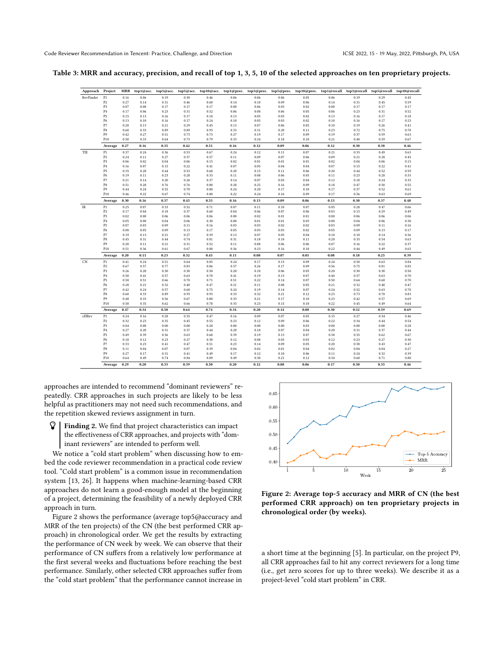<span id="page-6-0"></span>Table 3: MRR and accuracy, precision, and recall of top 1, 3, 5, 10 of the selected approaches on ten proprietary projects.

| Approach Project |                                  | <b>MRR</b>   | top1@acc.    | top3@acc.    |              |              | top5@acc. top10@acc. top1@prec. |              |              | top3@prec. top5@prec. top10@prec. top1@recall top3@recall top5@recall top10@recall |              |              |              |              |
|------------------|----------------------------------|--------------|--------------|--------------|--------------|--------------|---------------------------------|--------------|--------------|------------------------------------------------------------------------------------|--------------|--------------|--------------|--------------|
| RevFinder        | P <sub>1</sub>                   | 0.16         | 0.06         | 0.19         | 0.30         | 0.46         | 0.06                            | 0.06         | 0.06         | 0.05                                                                               | 0.06         | 0.19         | 0.29         | 0.45         |
|                  | P <sub>2</sub>                   | 0.27         | 0.14         | 0.31         | 0.46         | 0.60         | 0.14                            | 0.10         | 0.09         | 0.06                                                                               | 0.14         | 0.31         | 0.45         | 0.59         |
|                  | P <sub>3</sub>                   | 0.07         | 0.00         | 0.17         | 0.17         | 0.17         | 0.00                            | 0.06         | 0.03         | 0.02                                                                               | 0.00         | 0.17         | 0.17         | 0.17         |
|                  | P <sub>4</sub>                   | 0.17         | 0.06         | 0.23         | 0.31         | 0.52         | 0.06                            | 0.08         | 0.06         | 0.05                                                                               | 0.06         | 0.23         | 0.31         | 0.52         |
|                  | P5                               | 0.15         | 0.13         | 0.16         | 0.17         | 0.18         | 0.13                            | 0.05         | 0.03         | 0.02                                                                               | 0.13         | 0.16         | 0.17         | 0.18         |
|                  | P6                               | 0.13         | 0.10         | 0.16         | 0.17         | 0.24         | 0.10                            | 0.05         | 0.03         | 0.02                                                                               | 0.10         | 0.16         | 0.17         | 0.23         |
|                  | P7                               | 0.20         | 0.13         | 0.21         | 0.29         | 0.45         | 0.13                            | 0.07         | 0.06         | 0.05                                                                               | 0.10         | 0.19         | 0.26         | 0.41         |
|                  | P8                               | 0.60         | 0.33         | 0.89         | 0.89         | 0.93         | 0.33                            | 0.31         | 0.20         | 0.11                                                                               | 0.23         | 0.72         | 0.75         | 0.78         |
|                  | P9                               | 0.42         | 0.27         | 0.51         | 0.73         | 0.73         | 0.27                            | 0.19         | 0.17         | 0.09                                                                               | 0.19         | 0.37         | 0.59         | 0.63         |
|                  | P10                              | 0.50         | 0.33         | 0.64         | 0.73         | 0.79         | 0.33                            | 0.24         | 0.18         | 0.10                                                                               | 0.21         | 0.48         | 0.59         | 0.67         |
|                  | Average                          | 0.27         | 0.16         | 0.35         | 0.42         | 0.51         | 0.16                            | 0.12         | 0.09         | 0.06                                                                               | 0.12         | 0.30         | 0.38         | 0.46         |
| TIE              | P <sub>1</sub>                   | 0.37         | 0.24         | 0.36         | 0.53         | 0.67         | 0.24                            | 0.12         | 0.11         | 0.07                                                                               | 0.21         | 0.33         | 0.49         | 0.63         |
|                  | $\mathbb{P}2$<br>P <sub>3</sub>  | 0.24         | 0.11         | 0.27         | 0.37         | 0.57         | 0.11                            | 0.09         | 0.07         | 0.06                                                                               | 0.09         | 0.21         | 0.28         | 0.45         |
|                  | P <sub>4</sub>                   | 0.06<br>0.16 | 0.02<br>0.07 | 0.04<br>0.15 | 0.06<br>0.22 | 0.15<br>0.41 | 0.02<br>0.07                    | 0.01<br>0.05 | 0.01<br>0.04 | 0.01<br>0.04                                                                       | 0.02<br>0.07 | 0.04<br>0.15 | 0.06<br>0.22 | 0.15<br>0.41 |
|                  | P5                               | 0.35         | 0.20         |              | 0.53         |              |                                 | 0.15         |              | 0.06                                                                               |              | 0.44         |              | 0.59         |
|                  | P6                               | 0.19         | 0.11         | 0.44<br>0.23 | 0.28         | 0.60<br>0.33 | 0.20<br>0.11                    | 0.08         | 0.11<br>0.06 | 0.03                                                                               | 0.20<br>0.11 | 0.23         | 0.52<br>0.28 | 0.33         |
|                  | P7                               | 0.21         | 0.14         | 0.20         | 0.26         | 0.37         | 0.14                            | 0.07         | 0.05         | 0.04                                                                               | 0.12         | 0.18         | 0.24         | 0.35         |
|                  | P8                               | 0.51         | 0.28         | 0.76         | 0.76         | 0.80         | 0.28                            | 0.25         | 0.16         | 0.09                                                                               | 0.18         | 0.47         | 0.50         | 0.55         |
|                  | P9                               | 0.44         | 0.24         | 0.55         | 0.70         | 0.80         | 0.24                            | 0.20         | 0.17         | 0.10                                                                               | 0.17         | 0.37         | 0.52         | 0.61         |
|                  | P10                              | 0.46         | 0.22         | 0.67         | 0.74         | 0.80         | 0.22                            | 0.24         | 0.16         | 0.09                                                                               | 0.17         | 0.56         | 0.63         | 0.69         |
|                  | Average                          | 0.30         | 0.16         | 0.37         | 0.45         | 0.55         | 0.16                            | 0.13         | 0.09         | 0.06                                                                               | 0.13         | 0.30         | 0.37         | 0.48         |
|                  |                                  |              |              |              |              |              |                                 |              |              |                                                                                    |              |              |              |              |
| IR               | P <sub>1</sub><br>P <sub>2</sub> | 0.25<br>0.17 | 0.07         | 0.33         | 0.52<br>0.37 | 0.71<br>0.60 | 0.07<br>0.04                    | 0.11<br>0.06 | 0.10<br>0.07 | 0.07<br>0.06                                                                       | 0.05<br>0.03 | 0.28<br>0.15 | 0.47<br>0.29 | 0.66<br>0.49 |
|                  | P <sub>3</sub>                   | 0.02         | 0.04<br>0.00 | 0.18<br>0.06 | 0.06         | 0.06         | 0.00                            | 0.02         | 0.01         | 0.01                                                                               | 0.00         | 0.06         | 0.06         | 0.06         |
|                  | P <sub>4</sub>                   | 0.05         | 0.00         | 0.04         | 0.06         | 0.30         | 0.00                            | 0.01         | 0.01         | 0.03                                                                               | 0.00         | 0.04         | 0.06         | 0.30         |
|                  | P5                               | 0.07         | 0.03         | 0.09         | 0.11         | 0.16         | 0.03                            | 0.03         | 0.02         | 0.02                                                                               | 0.03         | 0.09         | 0.11         | 0.16         |
|                  | P6                               | 0.08         | 0.05         | 0.09         | 0.13         | 0.17         | 0.05                            | 0.03         | 0.03         | 0.02                                                                               | 0.05         | 0.09         | 0.13         | 0.17         |
|                  | P7                               | 0.19         | 0.13         | 0.21         | 0.27         | 0.39         | 0.13                            | 0.07         | 0.05         | 0.04                                                                               | 0.10         | 0.18         | 0.14         | 0.36         |
|                  | P8                               | 0.45         | 0.31         | 0.44         | 0.74         | 0.81         | 0.31                            | 0.18         | 0.18         | 0.11                                                                               | 0.20         | 0.33         | 0.54         | 0.63         |
|                  | P <sub>9</sub>                   | 0.20         | 0.11         | 0.21         | 0.31         | 0.52         | 0.11                            | 0.08         | 0.06         | 0.06                                                                               | 0.07         | 0.16         | 0.22         | 0.37         |
|                  | P10                              | 0.51         | 0.36         | 0.61         | 0.67         | 0.80         | 0.36                            | 0.23         | 0.16         | 0.10                                                                               | 0.22         | 0.44         | 0.49         | 0.65         |
|                  | Average                          | $\bf 0.20$   | 0.11         | 0.23         | 0.32         | 0.45         | 0.11                            | 0.08         | 0.07         | 0.05                                                                               | 0.08         | 0.18         | 0.25         | 0.39         |
| CN               | P <sub>1</sub>                   | 0.41         | 0.24         | 0.51         | 0.64         | 0.85         | 0.24                            | 0.17         | 0.13         | 0.09                                                                               | 0.24         | 0.50         | 0.63         | 0.84         |
|                  | P <sub>2</sub>                   | 0.67         | 0.57         | 0.77         | 0.83         | 0.86         | 0.57                            | 0.26         | 0.17         | 0.09                                                                               | 0.56         | 0.75         | 0.81         | 0.85         |
|                  | P <sub>3</sub>                   | 0.26         | 0.20         | 0.30         | 0.30         | 0.50         | 0.20                            | 0.10         | 0.06         | 0.05                                                                               | 0.20         | 0.30         | 0.30         | 0.50         |
|                  | P <sub>4</sub>                   | 0.50         | 0.41         | 0.57         | 0.63         | 0.70         | 0.41                            | 0.19         | 0.13         | 0.07                                                                               | 0.40         | 0.57         | 0.63         | 0.70         |
|                  | P5                               | 0.58         | 0.51         | 0.66         | 0.70         | 0.71         | 0.51                            | 0.22         | 0.14         | 0.07                                                                               | 0.50         | 0.64         | 0.68         | 0.70         |
|                  | P6                               | 0.28         | 0.21         | 0.32         | 0.40         | 0.47         | 0.21                            | 0.11         | 0.08         | 0.05                                                                               | 0.21         | 0.32         | 0.40         | 0.47         |
|                  | P7                               | 0.42         | 0.24         | 0.57         | 0.68         | 0.75         | 0.24                            | 0.19         | 0.14         | 0.07                                                                               | 0.24         | 0.52         | 0.63         | 0.70         |
|                  | P8                               | 0.60         | 0.33         | 0.89         | 0.93         | 0.93         | 0.33                            | 0.32         | 0.21         | 0.12                                                                               | 0.23         | 0.73         | 0.78         | 0.83         |
|                  | P9                               | 0.48         | 0.33         | 0.56         | 0.67         | 0.80         | 0.33                            | 0.21         | 0.17         | 0.10                                                                               | 0.23         | 0.42         | 0.57         | 0.69         |
|                  | P10                              | 0.50         | 0.35         | 0.62         | 0.66         | 0.78         | 0.35                            | 0.23         | 0.15         | 0.10                                                                               | 0.22         | 0.45         | 0.49         | 0.64         |
|                  | Average                          | 0.47         | 0.34         | 0.58         | 0.64         | 0.74         | 0.34                            | 0.20         | 0.14         | 0.08                                                                               | 0.30         | 0.52         | 0.59         | 0.69         |
| cHRev            | P <sub>1</sub>                   | 0.24         | 0.16         | 0.28         | 0.35         | 0.47         | 0.16                            | 0.09         | 0.07         | 0.05                                                                               | 0.15         | 0.27         | 0.34         | 0.46         |
|                  | $\mathbb{P}2$                    | 0.32         | 0.23         | 0.35         | 0.45         | 0.55         | 0.23                            | 0.12         | 0.09         | 0.06                                                                               | 0.22         | 0.34         | 0.44         | 0.54         |
|                  | P <sub>3</sub>                   | 0.04         | 0.00         | 0.00         | 0.00         | 0.28         | 0.00                            | 0.00         | 0.00         | 0.03                                                                               | 0.00         | 0.00         | 0.00         | 0.28         |
|                  | P <sub>4</sub>                   | 0.27         | 0.20         | 0.31         | 0.37         | 0.44         | 0.20                            | 0.10         | 0.07         | 0.04                                                                               | 0.20         | 0.31         | 0.37         | 0.44         |
|                  | P <sub>5</sub>                   | 0.49         | 0.39         | 0.56         | 0.63         | 0.68         | 0.39                            | 0.19         | 0.13         | 0.07                                                                               | 0.38         | 0.55         | 0.62         | 0.67         |
|                  | P6                               | 0.18         | 0.12         | 0.23         | 0.27         | 0.30         | 0.12                            | 0.08         | 0.05         | 0.03                                                                               | 0.12         | 0.23         | 0.27         | 0.30         |
|                  | P7                               | 0.33         | 0.23         | 0.41         | 0.47         | 0.51         | 0.23                            | 0.14         | 0.09         | 0.05                                                                               | 0.20         | 0.38         | 0.43         | 0.47         |
|                  | P8                               | 0.11         | 0.04         | 0.07         | 0.07         | 0.39         | 0.04                            | 0.02         | 0.01         | 0.04                                                                               | 0.02         | 0.04         | 0.04         | 0.27         |
|                  | P9                               | 0.27         | 0.17         | 0.31         | 0.41         | 0.49         | 0.17                            | 0.12         | 0.10         | 0.06                                                                               | 0.11         | 0.24         | 0.32         | 0.39         |
|                  | P10                              | 0.64         | 0.49         | 0.74         | 0.84         | 0.89         | 0.49                            | 0.30         | 0.21         | 0.12                                                                               | 0.34         | 0.60         | 0.71         | 0.80         |
|                  | Average                          | 0.29         | 0.20         | 0.33         | 0.39         | 0.50         | 0.20                            | 0.12         | 0.08         | 0.06                                                                               | 0.17         | 0.30         | 0.35         | 0.46         |

approaches are intended to recommend "dominant reviewers" repeatedly. CRR approaches in such projects are likely to be less helpful as practitioners may not need such recommendations, and the repetition skewed reviews assignment in turn.

 $\mathbf{\Omega}$  Finding 2. We find that project characteristics can impact the effectiveness of CRR approaches, and projects with "dominant reviewers" are intended to perform well.

We notice a "cold start problem" when discussing how to embed the code reviewer recommendation in a practical code review tool. "Cold start problem" is a common issue in recommendation system [\[13,](#page-9-30) [26\]](#page-9-31). It happens when machine-learning-based CRR approaches do not learn a good-enough model at the beginning of a project, determining the feasibility of a newly deployed CRR approach in turn.

Figure [2](#page-6-1) shows the performance (average top5@accuracy and MRR of the ten projects) of the CN (the best performed CRR approach) in chronological order. We get the results by extracting the performance of CN week by week. We can observe that their performance of CN suffers from a relatively low performance at the first several weeks and fluctuations before reaching the best performance. Similarly, other selected CRR approaches suffer from the "cold start problem" that the performance cannot increase in

<span id="page-6-1"></span>

Figure 2: Average top-5 accuracy and MRR of CN (the best performed CRR approach) on ten proprietary projects in chronological order (by weeks).

a short time at the beginning [\[5\]](#page-9-32). In particular, on the project P9, all CRR approaches fail to hit any correct reviewers for a long time (i.e., get zero scores for up to three weeks). We describe it as a project-level "cold start problem" in CRR.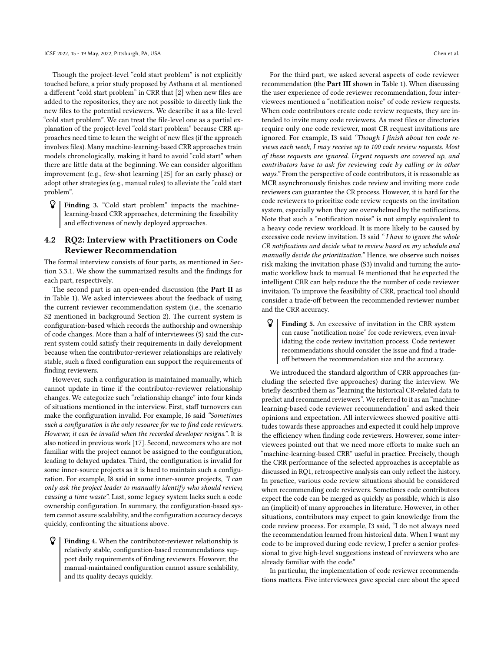Though the project-level "cold start problem" is not explicitly touched before, a prior study proposed by Asthana et al. mentioned a different "cold start problem" in CRR that [\[2\]](#page-9-9) when new files are added to the repositories, they are not possible to directly link the new files to the potential reviewers. We describe it as a file-level "cold start problem". We can treat the file-level one as a partial explanation of the project-level "cold start problem" because CRR approaches need time to learn the weight of new files (if the approach involves files). Many machine-learning-based CRR approaches train models chronologically, making it hard to avoid "cold start" when there are little data at the beginning. We can consider algorithm improvement (e.g., few-shot learning [\[25\]](#page-9-33) for an early phase) or adopt other strategies (e.g., manual rules) to alleviate the "cold start problem".

 $\mathcal{G}$  Finding 3. "Cold start problem" impacts the machinelearning-based CRR approaches, determining the feasibility and effectiveness of newly deployed approaches.

## 4.2 RQ2: Interview with Practitioners on Code Reviewer Recommendation

The formal interview consists of four parts, as mentioned in Section [3.3.1.](#page-3-2) We show the summarized results and the findings for each part, respectively.

The second part is an open-ended discussion (the Part II as in Table [1\)](#page-4-0). We asked interviewees about the feedback of using the current reviewer recommendation system (i.e., the scenario S2 mentioned in background Section [2\)](#page-1-0). The current system is configuration-based which records the authorship and ownership of code changes. More than a half of interviewees (5) said the current system could satisfy their requirements in daily development because when the contributor-reviewer relationships are relatively stable, such a fixed configuration can support the requirements of finding reviewers.

However, such a configuration is maintained manually, which cannot update in time if the contributor-reviewer relationship changes. We categorize such "relationship change" into four kinds of situations mentioned in the interview. First, staff turnovers can make the configuration invalid. For example, I6 said "Sometimes such a configuration is the only resource for me to find code reviewers. However, it can be invalid when the recorded developer resigns.". It is also noticed in previous work [\[17\]](#page-9-15). Second, newcomers who are not familiar with the project cannot be assigned to the configuration, leading to delayed updates. Third, the configuration is invalid for some inner-source projects as it is hard to maintain such a configuration. For example, I8 said in some inner-source projects, "I can only ask the project leader to manually identify who should review, causing a time waste". Last, some legacy system lacks such a code ownership configuration. In summary, the configuration-based system cannot assure scalability, and the configuration accuracy decays quickly, confronting the situations above.

 Finding 4. When the contributor-reviewer relationship is relatively stable, configuration-based recommendations support daily requirements of finding reviewers. However, the manual-maintained configuration cannot assure scalability, and its quality decays quickly.

For the third part, we asked several aspects of code reviewer recommendation (the Part III shown in Table [1\)](#page-4-0). When discussing the user experience of code reviewer recommendation, four interviewees mentioned a "notification noise" of code review requests. When code contributors create code review requests, they are intended to invite many code reviewers. As most files or directories require only one code reviewer, most CR request invitations are ignored. For example, I3 said "Though I finish about ten code reviews each week, I may receive up to 100 code review requests. Most of these requests are ignored. Urgent requests are covered up, and contributors have to ask for reviewing code by calling or in other ways." From the perspective of code contributors, it is reasonable as MCR asynchronously finishes code review and inviting more code reviewers can guarantee the CR process. However, it is hard for the code reviewers to prioritize code review requests on the invitation system, especially when they are overwhelmed by the notifications. Note that such a "notification noise" is not simply equivalent to a heavy code review workload. It is more likely to be caused by excessive code review invitation. I3 said " I have to ignore the whole CR notifications and decide what to review based on my schedule and manually decide the prioritization." Hence, we observe such noises risk making the invitation phase (S3) invalid and turning the automatic workflow back to manual. I4 mentioned that he expected the intelligent CRR can help reduce the the number of code reviewer invitaion. To improve the feasibility of CRR, practical tool should consider a trade-off between the recommended reviewer number and the CRR accuracy.

 $\mathcal{G}$  Finding 5. An excessive of invitation in the CRR system can cause "notification noise" for code reviewers, even invalidating the code review invitation process. Code reviewer recommendations should consider the issue and find a tradeoff between the recommendation size and the accuracy.

We introduced the standard algorithm of CRR approaches (including the selected five approaches) during the interview. We briefly described them as "learning the historical CR-related data to predict and recommend reviewers". We referred to it as an "machinelearning-based code reviewer recommendation" and asked their opinions and expectation. All interviewees showed positive attitudes towards these approaches and expected it could help improve the efficiency when finding code reviewers. However, some interviewees pointed out that we need more efforts to make such an "machine-learning-based CRR" useful in practice. Precisely, though the CRR performance of the selected approaches is acceptable as discussed in RQ1, retrospective analysis can only reflect the history. In practice, various code review situations should be considered when recommending code reviewers. Sometimes code contributors expect the code can be merged as quickly as possible, which is also an (implicit) of many approaches in literature. However, in other situations, contributors may expect to gain knowledge from the code review process. For example, I3 said, "I do not always need the recommendation learned from historical data. When I want my code to be improved during code review, I prefer a senior professional to give high-level suggestions instead of reviewers who are already familiar with the code."

In particular, the implementation of code reviewer recommendations matters. Five interviewees gave special care about the speed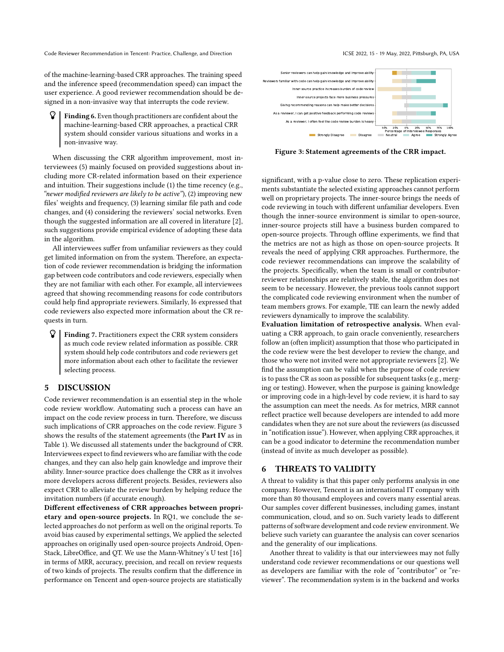Code Reviewer Recommendation in Tencent: Practice, Challenge, and Direction ICSE 2022, 15 - 19 May, 2022, Pittsburgh, PA, USA

of the machine-learning-based CRR approaches. The training speed and the inference speed (recommendation speed) can impact the user experience. A good reviewer recommendation should be designed in a non-invasive way that interrupts the code review.

 Finding 6. Even though practitioners are confident about the machine-learning-based CRR approaches, a practical CRR system should consider various situations and works in a non-invasive way.

When discussing the CRR algorithm improvement, most interviewees (5) mainly focused on provided suggestions about including more CR-related information based on their experience and intuition. Their suggestions include (1) the time recency (e.g., "newer modified reviewers are likely to be active"), (2) improving new files' weights and frequency, (3) learning similar file path and code changes, and (4) considering the reviewers' social networks. Even though the suggested information are all covered in literature [\[2\]](#page-9-9), such suggestions provide empirical evidence of adopting these data in the algorithm.

All interviewees suffer from unfamiliar reviewers as they could get limited information on from the system. Therefore, an expectation of code reviewer recommendation is bridging the information gap between code contributors and code reviewers, especially when they are not familiar with each other. For example, all interviewees agreed that showing recommending reasons for code contributors could help find appropriate reviewers. Similarly, I6 expressed that code reviewers also expected more information about the CR requests in turn.

 $\mathcal{G}$  Finding 7. Practitioners expect the CRR system considers as much code review related information as possible. CRR system should help code contributors and code reviewers get more information about each other to facilitate the reviewer selecting process.

## <span id="page-8-0"></span>5 DISCUSSION

Code reviewer recommendation is an essential step in the whole code review workflow. Automating such a process can have an impact on the code review process in turn. Therefore, we discuss such implications of CRR approaches on the code review. Figure [3](#page-8-2) shows the results of the statement agreements (the Part IV as in Table [1\)](#page-4-0). We discussed all statements under the background of CRR. Interviewees expect to find reviewers who are familiar with the code changes, and they can also help gain knowledge and improve their ability. Inner-source practice does challenge the CRR as it involves more developers across different projects. Besides, reviewers also expect CRR to alleviate the review burden by helping reduce the invitation numbers (if accurate enough).

Different effectiveness of CRR approaches between proprietary and open-source projects. In RQ1, we conclude the selected approaches do not perform as well on the original reports. To avoid bias caused by experimental settings, We applied the selected approaches on originally used open-source projects Android, Open-Stack, LibreOffice, and QT. We use the Mann-Whitney's U test [\[16\]](#page-9-34) in terms of MRR, accuracy, precision, and recall on review requests of two kinds of projects. The results confirm that the difference in performance on Tencent and open-source projects are statistically

<span id="page-8-2"></span>

Figure 3: Statement agreements of the CRR impact.

significant, with a p-value close to zero. These replication experiments substantiate the selected existing approaches cannot perform well on proprietary projects. The inner-source brings the needs of code reviewing in touch with different unfamiliar developers. Even though the inner-source environment is similar to open-source, inner-source projects still have a business burden compared to open-source projects. Through offline experiments, we find that the metrics are not as high as those on open-source projects. It reveals the need of applying CRR approaches. Furthermore, the code reviewer recommendations can improve the scalability of the projects. Specifically, when the team is small or contributorreviewer relationships are relatively stable, the algorithm does not seem to be necessary. However, the previous tools cannot support the complicated code reviewing environment when the number of team members grows. For example, TIE can learn the newly added reviewers dynamically to improve the scalability.

Evaluation limitation of retrospective analysis. When evaluating a CRR approach, to gain oracle conveniently, researchers follow an (often implicit) assumption that those who participated in the code review were the best developer to review the change, and those who were not invited were not appropriate reviewers [\[2\]](#page-9-9). We find the assumption can be valid when the purpose of code review is to pass the CR as soon as possible for subsequent tasks (e.g., merging or testing). However, when the purpose is gaining knowledge or improving code in a high-level by code review, it is hard to say the assumption can meet the needs. As for metrics, MRR cannot reflect practice well because developers are intended to add more candidates when they are not sure about the reviewers (as discussed in "notification issue"). However, when applying CRR approaches, it can be a good indicator to determine the recommendation number (instead of invite as much developer as possible).

## <span id="page-8-1"></span>6 THREATS TO VALIDITY

A threat to validity is that this paper only performs analysis in one company. However, Tencent is an international IT company with more than 80 thousand employees and covers many essential areas. Our samples cover different businesses, including games, instant communication, cloud, and so on. Such variety leads to different patterns of software development and code review environment. We believe such variety can guarantee the analysis can cover scenarios and the generality of our implications.

Another threat to validity is that our interviewees may not fully understand code reviewer recommendations or our questions well as developers are familiar with the role of "contributor" or "reviewer". The recommendation system is in the backend and works